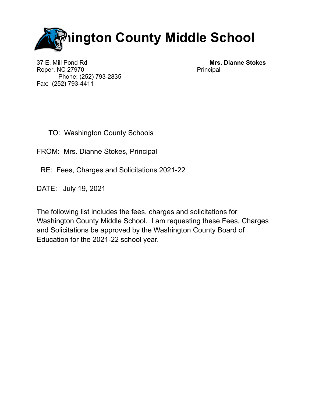

37 E. Mill Pond Rd **Mrs. Dianne Stokes** Roper, NC 27970 Principal Phone: (252) 793-2835 Fax: (252) 793-4411

- TO: Washington County Schools
- FROM: Mrs. Dianne Stokes, Principal
	- RE: Fees, Charges and Solicitations 2021-22
- DATE: July 19, 2021

The following list includes the fees, charges and solicitations for Washington County Middle School. I am requesting these Fees, Charges and Solicitations be approved by the Washington County Board of Education for the 2021-22 school year.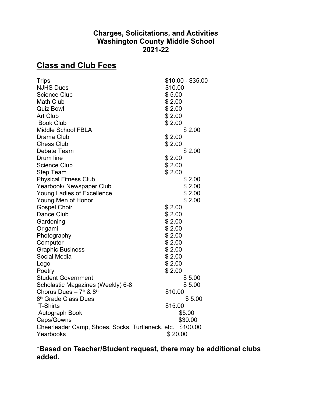## **Charges, Solicitations, and Activities Washington County Middle School 2021-22**

## **Class and Club Fees**

| <b>Trips</b>                                              | $$10.00 - $35.00$ |
|-----------------------------------------------------------|-------------------|
| <b>NJHS Dues</b>                                          | \$10.00           |
| <b>Science Club</b>                                       | \$5.00            |
| <b>Math Club</b>                                          | \$2.00            |
| <b>Quiz Bowl</b>                                          | \$2.00            |
| <b>Art Club</b>                                           | \$2.00            |
| <b>Book Club</b>                                          | \$2.00            |
| <b>Middle School FBLA</b>                                 | \$2.00            |
| Drama Club                                                | \$2.00            |
| <b>Chess Club</b>                                         | \$2.00            |
| Debate Team                                               | \$2.00            |
| Drum line                                                 | \$2.00            |
| <b>Science Club</b>                                       | \$2.00            |
| Step Team                                                 | \$2.00            |
| <b>Physical Fitness Club</b>                              | \$2.00            |
| Yearbook/ Newspaper Club                                  | \$2.00            |
| Young Ladies of Excellence                                | \$2.00            |
| Young Men of Honor                                        | \$2.00            |
| <b>Gospel Choir</b>                                       | \$2.00            |
| Dance Club                                                | \$2.00            |
| Gardening                                                 | \$2.00            |
| Origami                                                   | \$2.00            |
| Photography                                               | \$2.00            |
| Computer                                                  | \$2.00            |
| <b>Graphic Business</b>                                   | \$2.00            |
| Social Media                                              | \$2.00            |
| Lego                                                      | \$2.00            |
| Poetry                                                    | \$2.00            |
| <b>Student Government</b>                                 | \$5.00            |
| Scholastic Magazines (Weekly) 6-8                         | \$5.00            |
| Chorus Dues $-7th$ & $8th$                                | \$10.00           |
| 8 <sup>th</sup> Grade Class Dues                          | \$5.00            |
| <b>T-Shirts</b>                                           | \$15.00           |
| Autograph Book                                            | \$5.00            |
| Caps/Gowns                                                | \$30.00           |
| Cheerleader Camp, Shoes, Socks, Turtleneck, etc. \$100.00 |                   |
| Yearbooks                                                 | \$20.00           |
|                                                           |                   |

\***Based on Teacher/Student request, there may be additional clubs added.**